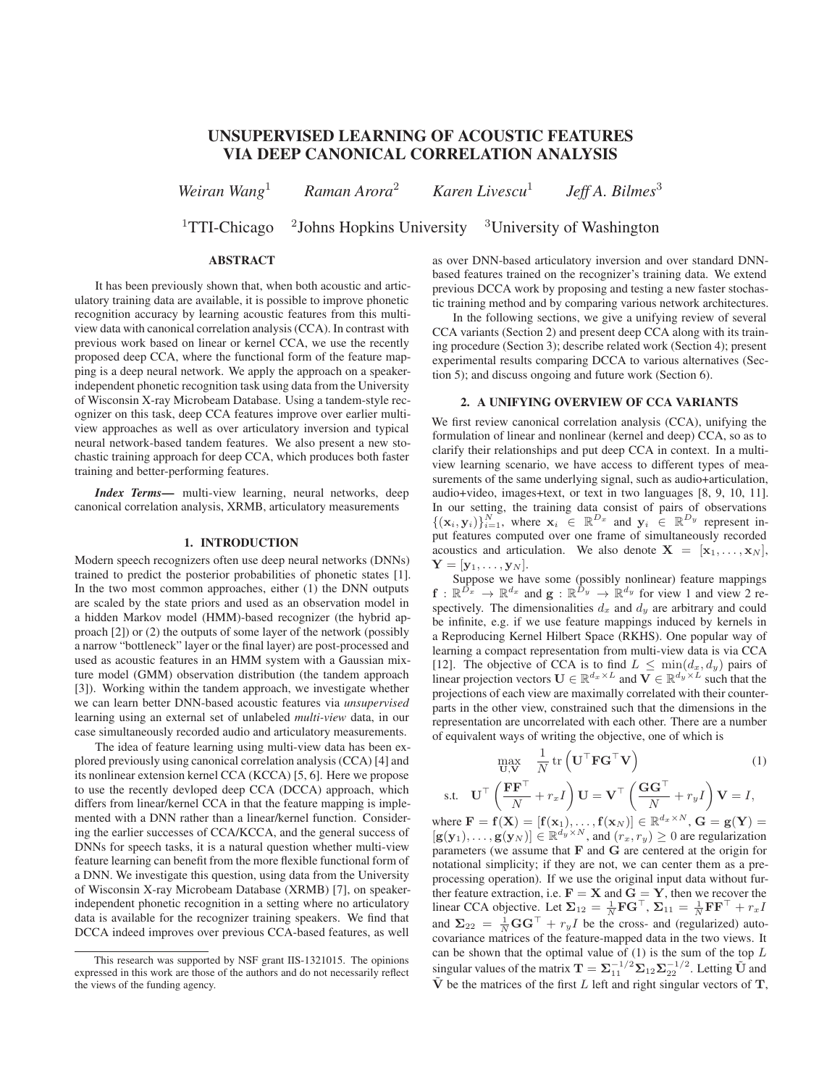# UNSUPERVISED LEARNING OF ACOUSTIC FEATURES VIA DEEP CANONICAL CORRELATION ANALYSIS

*Weiran Wang*<sup>1</sup> *Raman Arora*<sup>2</sup> *Karen Livescu*<sup>1</sup> *Jeff A. Bilmes*<sup>3</sup>

<sup>1</sup>TTI-Chicago  $\frac{2}{}$ Johns Hopkins University <sup>3</sup>University of Washington

s.t.

# ABSTRACT

It has been previously shown that, when both acoustic and articulatory training data are available, it is possible to improve phonetic recognition accuracy by learning acoustic features from this multiview data with canonical correlation analysis (CCA). In contrast with previous work based on linear or kernel CCA, we use the recently proposed deep CCA, where the functional form of the feature mapping is a deep neural network. We apply the approach on a speakerindependent phonetic recognition task using data from the University of Wisconsin X-ray Microbeam Database. Using a tandem-style recognizer on this task, deep CCA features improve over earlier multiview approaches as well as over articulatory inversion and typical neural network-based tandem features. We also present a new stochastic training approach for deep CCA, which produces both faster training and better-performing features.

*Index Terms*— multi-view learning, neural networks, deep canonical correlation analysis, XRMB, articulatory measurements

### 1. INTRODUCTION

Modern speech recognizers often use deep neural networks (DNNs) trained to predict the posterior probabilities of phonetic states [1]. In the two most common approaches, either (1) the DNN outputs are scaled by the state priors and used as an observation model in a hidden Markov model (HMM)-based recognizer (the hybrid approach [2]) or (2) the outputs of some layer of the network (possibly a narrow "bottleneck" layer or the final layer) are post-processed and used as acoustic features in an HMM system with a Gaussian mixture model (GMM) observation distribution (the tandem approach [3]). Working within the tandem approach, we investigate whether we can learn better DNN-based acoustic features via *unsupervised* learning using an external set of unlabeled *multi-view* data, in our case simultaneously recorded audio and articulatory measurements.

The idea of feature learning using multi-view data has been explored previously using canonical correlation analysis (CCA) [4] and its nonlinear extension kernel CCA (KCCA) [5, 6]. Here we propose to use the recently devloped deep CCA (DCCA) approach, which differs from linear/kernel CCA in that the feature mapping is implemented with a DNN rather than a linear/kernel function. Considering the earlier successes of CCA/KCCA, and the general success of DNNs for speech tasks, it is a natural question whether multi-view feature learning can benefit from the more flexible functional form of a DNN. We investigate this question, using data from the University of Wisconsin X-ray Microbeam Database (XRMB) [7], on speakerindependent phonetic recognition in a setting where no articulatory data is available for the recognizer training speakers. We find that DCCA indeed improves over previous CCA-based features, as well

as over DNN-based articulatory inversion and over standard DNNbased features trained on the recognizer's training data. We extend previous DCCA work by proposing and testing a new faster stochastic training method and by comparing various network architectures.

In the following sections, we give a unifying review of several CCA variants (Section 2) and present deep CCA along with its training procedure (Section 3); describe related work (Section 4); present experimental results comparing DCCA to various alternatives (Section 5); and discuss ongoing and future work (Section 6).

# 2. A UNIFYING OVERVIEW OF CCA VARIANTS

We first review canonical correlation analysis (CCA), unifying the formulation of linear and nonlinear (kernel and deep) CCA, so as to clarify their relationships and put deep CCA in context. In a multiview learning scenario, we have access to different types of measurements of the same underlying signal, such as audio+articulation, audio+video, images+text, or text in two languages [8, 9, 10, 11]. In our setting, the training data consist of pairs of observations  $\{(\mathbf{x}_i, \mathbf{y}_i)\}_{i=1}^N$ , where  $\mathbf{x}_i \in \mathbb{R}^{D_x}$  and  $\mathbf{y}_i \in \mathbb{R}^{D_y}$  represent input features computed over one frame of simultaneously recorded acoustics and articulation. We also denote  $X = [x_1, \ldots, x_N]$ ,  $\mathbf{Y} = [\mathbf{y}_1, \dots, \mathbf{y}_N].$ 

Suppose we have some (possibly nonlinear) feature mappings  $\mathbf{f}: \mathbb{R}^{\bar{D_x}} \to \mathbb{R}^{d_x}$  and  $\mathbf{g}: \mathbb{R}^{\bar{D_y}} \to \mathbb{R}^{d_y}$  for view 1 and view 2 respectively. The dimensionalities  $d_x$  and  $d_y$  are arbitrary and could be infinite, e.g. if we use feature mappings induced by kernels in a Reproducing Kernel Hilbert Space (RKHS). One popular way of learning a compact representation from multi-view data is via CCA [12]. The objective of CCA is to find  $L \n\leq \min(d_x, d_y)$  pairs of linear projection vectors  $\mathbf{U} \in \mathbb{R}^{d_x \times L}$  and  $\mathbf{V} \in \mathbb{R}^{d_y \times L}$  such that the projections of each view are maximally correlated with their counterparts in the other view, constrained such that the dimensions in the representation are uncorrelated with each other. There are a number of equivalent ways of writing the objective, one of which is

$$
\max_{\mathbf{U}, \mathbf{V}} \frac{1}{N} \operatorname{tr} \left( \mathbf{U}^{\top} \mathbf{F} \mathbf{G}^{\top} \mathbf{V} \right) \tag{1}
$$
\n
$$
\mathbf{U}^{\top} \left( \frac{\mathbf{F} \mathbf{F}^{\top}}{N} + r_x I \right) \mathbf{U} = \mathbf{V}^{\top} \left( \frac{\mathbf{G} \mathbf{G}^{\top}}{N} + r_y I \right) \mathbf{V} = I,
$$

 $\setminus N$  $\setminus N$ where  $\mathbf{F} = \mathbf{f}(\mathbf{X}) = [\mathbf{f}(\mathbf{x}_1), \dots, \mathbf{f}(\mathbf{x}_N)] \in \mathbb{R}^{d_x \times N}, \mathbf{G} = \mathbf{g}(\mathbf{Y}) =$  $[g(\mathbf{y}_1), \dots, g(\mathbf{y}_N)] \in \mathbb{R}^{d_y \times N}$ , and  $(r_x, r_y) \geq 0$  are regularization parameters (we assume that  **and**  $**G**$  **are centered at the origin for** notational simplicity; if they are not, we can center them as a preprocessing operation). If we use the original input data without further feature extraction, i.e.  $\mathbf{F} = \mathbf{X}$  and  $\mathbf{G} = \mathbf{Y}$ , then we recover the linear CCA objective. Let  $\Sigma_{12} = \frac{1}{N} \mathbf{F} \mathbf{G}^\top$ ,  $\Sigma_{11} = \frac{1}{N} \mathbf{F} \mathbf{F}^\top + r_x I$ and  $\Sigma_{22} = \frac{1}{N} \mathbf{G} \mathbf{G}^{\top} + r_y I$  be the cross- and (regularized) autocovariance matrices of the feature-mapped data in the two views. It can be shown that the optimal value of  $(1)$  is the sum of the top  $L$ singular values of the matrix  $\mathbf{T} = \sum_{1}^{n-1/2} \sum_{12} \sum_{22}^{-1/2}$ . Letting  $\tilde{\mathbf{U}}$  and  $\tilde{V}$  be the matrices of the first L left and right singular vectors of T,

This research was supported by NSF grant IIS-1321015. The opinions expressed in this work are those of the authors and do not necessarily reflect the views of the funding agency.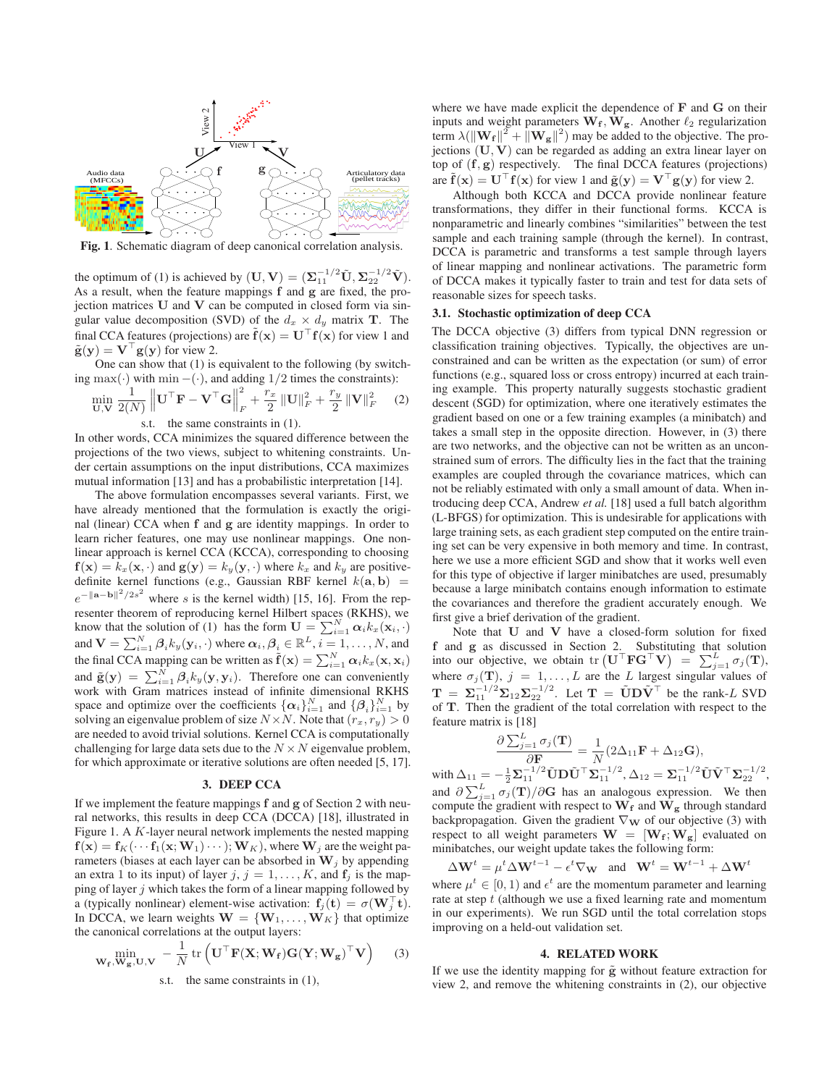

Fig. 1. Schematic diagram of deep canonical correlation analysis.

the optimum of (1) is achieved by  $(\mathbf{U}, \mathbf{V}) = (\mathbf{\Sigma}_{11}^{-1/2} \tilde{\mathbf{U}}, \mathbf{\Sigma}_{22}^{-1/2} \tilde{\mathbf{V}}).$ As a result, when the feature mappings f and g are fixed, the projection matrices U and V can be computed in closed form via singular value decomposition (SVD) of the  $d_x \times d_y$  matrix **T**. The final CCA features (projections) are  $\tilde{f}(x) = U^{\top} f(x)$  for view 1 and  $\tilde{\mathbf{g}}(\mathbf{y}) = \mathbf{V}^\top \mathbf{g}(\mathbf{y})$  for view 2.

One can show that (1) is equivalent to the following (by switching max(·) with min –(·), and adding  $1/2$  times the constraints):

$$
\min_{\mathbf{U},\mathbf{V}} \frac{1}{2(N)} \left\| \mathbf{U}^\top \mathbf{F} - \mathbf{V}^\top \mathbf{G} \right\|_F^2 + \frac{r_x}{2} \left\| \mathbf{U} \right\|_F^2 + \frac{r_y}{2} \left\| \mathbf{V} \right\|_F^2 \tag{2}
$$

s.t. the same constraints in (1).

In other words, CCA minimizes the squared difference between the projections of the two views, subject to whitening constraints. Under certain assumptions on the input distributions, CCA maximizes mutual information [13] and has a probabilistic interpretation [14].

The above formulation encompasses several variants. First, we have already mentioned that the formulation is exactly the original (linear) CCA when f and g are identity mappings. In order to learn richer features, one may use nonlinear mappings. One nonlinear approach is kernel CCA (KCCA), corresponding to choosing  $f(\mathbf{x}) = k_x(\mathbf{x}, \cdot)$  and  $g(\mathbf{y}) = k_y(\mathbf{y}, \cdot)$  where  $k_x$  and  $k_y$  are positivedefinite kernel functions (e.g., Gaussian RBF kernel  $k(\mathbf{a}, \mathbf{b}) =$  $e^{-\|\mathbf{a}-\mathbf{b}\|^2/2s^2}$  where s is the kernel width) [15, 16]. From the representer theorem of reproducing kernel Hilbert spaces (RKHS), we know that the solution of (1) has the form  $\mathbf{U} = \sum_{i=1}^{N} \alpha_i k_x(\mathbf{x}_i, \cdot)$ and  $\mathbf{V} = \sum_{i=1}^N \boldsymbol{\beta}_i k_y(\mathbf{y}_i, \cdot)$  where  $\boldsymbol{\alpha}_i, \boldsymbol{\beta}_i \in \mathbb{R}^L, i = 1, \dots, N$ , and the final CCA mapping can be written as  $\tilde{\mathbf{f}}(\mathbf{x}) = \sum_{i=1}^{N} \alpha_i k_x(\mathbf{x}, \mathbf{x}_i)$ and  $\tilde{\mathbf{g}}(\mathbf{y}) = \sum_{i=1}^{N} \beta_i k_y(\mathbf{y}, \mathbf{y}_i)$ . Therefore one can conveniently work with Gram matrices instead of infinite dimensional RKHS space and optimize over the coefficients  $\{\alpha_i\}_{i=1}^N$  and  $\{\beta_i\}_{i=1}^N$  by solving an eigenvalue problem of size  $N \times N$ . Note that  $(r_x, r_y) > 0$ are needed to avoid trivial solutions. Kernel CCA is computationally challenging for large data sets due to the  $N \times N$  eigenvalue problem, for which approximate or iterative solutions are often needed [5, 17].

## 3. DEEP CCA

If we implement the feature mappings f and g of Section 2 with neural networks, this results in deep CCA (DCCA) [18], illustrated in Figure 1. A K-layer neural network implements the nested mapping  $f(x) = f_K(\cdots f_1(x; W_1) \cdots); W_K$ , where W<sub>i</sub> are the weight parameters (biases at each layer can be absorbed in  $W_j$  by appending an extra 1 to its input) of layer j,  $j = 1, \ldots, K$ , and  $f_j$  is the mapping of layer  $j$  which takes the form of a linear mapping followed by a (typically nonlinear) element-wise activation:  $\mathbf{f}_j(\mathbf{t}) = \sigma(\mathbf{W}_j^{\top} \mathbf{t})$ . In DCCA, we learn weights  $\mathbf{W} = \{ \mathbf{W}_1, \dots, \mathbf{W}_K \}$  that optimize the canonical correlations at the output layers:

$$
\min_{\mathbf{W}_{\mathbf{f}}, \mathbf{W}_{\mathbf{g}}, \mathbf{U}, \mathbf{V}} - \frac{1}{N} \operatorname{tr} \left( \mathbf{U}^{\top} \mathbf{F}(\mathbf{X}; \mathbf{W}_{\mathbf{f}}) \mathbf{G}(\mathbf{Y}; \mathbf{W}_{\mathbf{g}})^{\top} \mathbf{V} \right) \tag{3}
$$

s.t. the same constraints in (1),

where we have made explicit the dependence of F and G on their inputs and weight parameters  $W_f$ ,  $W_g$ . Another  $\ell_2$  regularization term  $\lambda(||\mathbf{W}_{\mathbf{f}}||^2 + ||\mathbf{W}_{\mathbf{g}}||^2)$  may be added to the objective. The projections  $(\mathbf{U}, \mathbf{V})$  can be regarded as adding an extra linear layer on top of (f, g) respectively. The final DCCA features (projections) are  $\tilde{\mathbf{f}}(\mathbf{x}) = \mathbf{U}^\top \mathbf{f}(\mathbf{x})$  for view 1 and  $\tilde{\mathbf{g}}(\mathbf{y}) = \mathbf{V}^\top \mathbf{g}(\mathbf{y})$  for view 2.

Although both KCCA and DCCA provide nonlinear feature transformations, they differ in their functional forms. KCCA is nonparametric and linearly combines "similarities" between the test sample and each training sample (through the kernel). In contrast, DCCA is parametric and transforms a test sample through layers of linear mapping and nonlinear activations. The parametric form of DCCA makes it typically faster to train and test for data sets of reasonable sizes for speech tasks.

# 3.1. Stochastic optimization of deep CCA

The DCCA objective (3) differs from typical DNN regression or classification training objectives. Typically, the objectives are unconstrained and can be written as the expectation (or sum) of error functions (e.g., squared loss or cross entropy) incurred at each training example. This property naturally suggests stochastic gradient descent (SGD) for optimization, where one iteratively estimates the gradient based on one or a few training examples (a minibatch) and takes a small step in the opposite direction. However, in (3) there are two networks, and the objective can not be written as an unconstrained sum of errors. The difficulty lies in the fact that the training examples are coupled through the covariance matrices, which can not be reliably estimated with only a small amount of data. When introducing deep CCA, Andrew *et al.* [18] used a full batch algorithm (L-BFGS) for optimization. This is undesirable for applications with large training sets, as each gradient step computed on the entire training set can be very expensive in both memory and time. In contrast, here we use a more efficient SGD and show that it works well even for this type of objective if larger minibatches are used, presumably because a large minibatch contains enough information to estimate the covariances and therefore the gradient accurately enough. We first give a brief derivation of the gradient.

Note that U and V have a closed-form solution for fixed f and g as discussed in Section 2. Substituting that solution into our objective, we obtain  $\text{tr} \left( \mathbf{U}^{\top} \mathbf{F} \mathbf{G}^{\top} \mathbf{V} \right) = \sum_{j=1}^{L} \sigma_j(\mathbf{T}),$ where  $\sigma_j(\mathbf{T})$ ,  $j = 1, ..., L$  are the L largest singular values of  $\mathbf{T} = \Sigma_{11}^{-1/2} \Sigma_{12} \Sigma_{22}^{-1/2}$ . Let  $\mathbf{T} = \tilde{\mathbf{U}} \mathbf{D} \tilde{\mathbf{V}}^{\top}$  be the rank-L SVD of T. Then the gradient of the total correlation with respect to the feature matrix is [18]

$$
\frac{\partial \sum_{j=1}^{L} \sigma_j(\mathbf{T})}{\partial \mathbf{F}} = \frac{1}{N} (2\Delta_{11} \mathbf{F} + \Delta_{12} \mathbf{G}),
$$

with  $\Delta_{11} = -\frac{1}{2} \Sigma_{11}^{-1/2} \tilde{\mathbf{U}} \mathbf{D} \tilde{\mathbf{U}}^\top \Sigma_{11}^{-1/2}, \Delta_{12} = \Sigma_{11}^{-1/2} \tilde{\mathbf{U}} \tilde{\mathbf{V}}^\top \Sigma_{22}^{-1/2},$ and  $\partial \sum_{j=1}^{L} \sigma_j(\mathbf{T})/\partial \mathbf{G}$  has an analogous expression. We then compute the gradient with respect to  $W_f$  and  $W_g$  through standard backpropagation. Given the gradient  $\nabla_{\mathbf{W}}$  of our objective (3) with respect to all weight parameters  $\mathbf{W} = [\mathbf{W_f}; \mathbf{W_g}]$  evaluated on minibatches, our weight update takes the following form:

$$
\Delta \mathbf{W}^t = \mu^t \Delta \mathbf{W}^{t-1} - \epsilon^t \nabla_{\mathbf{W}} \quad \text{and} \quad \mathbf{W}^t = \mathbf{W}^{t-1} + \Delta \mathbf{W}^t
$$

where  $\mu^t \in [0, 1)$  and  $\epsilon^t$  are the momentum parameter and learning rate at step  $t$  (although we use a fixed learning rate and momentum in our experiments). We run SGD until the total correlation stops improving on a held-out validation set.

#### 4. RELATED WORK

If we use the identity mapping for  $\tilde{g}$  without feature extraction for view 2, and remove the whitening constraints in (2), our objective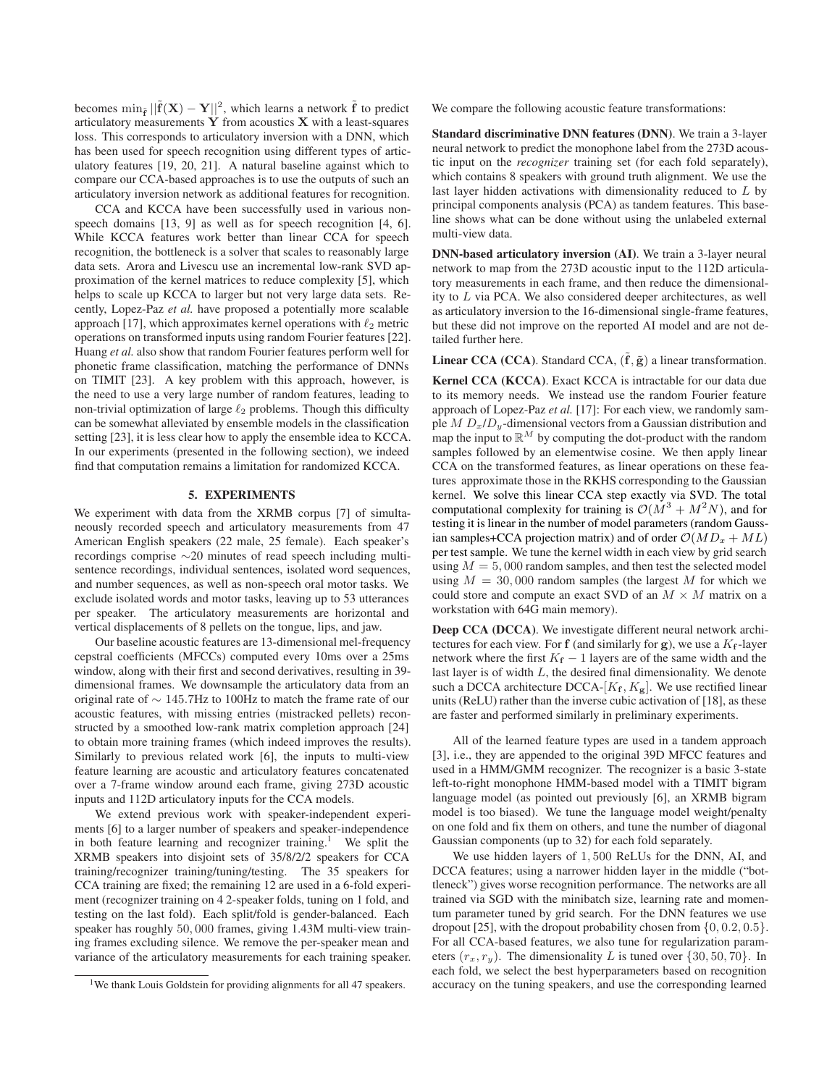becomes  $\min_{\tilde{\mathbf{f}}} ||\tilde{\mathbf{f}}(\mathbf{X}) - \mathbf{Y}||^2$ , which learns a network  $\tilde{\mathbf{f}}$  to predict articulatory measurements  $Y$  from acoustics  $X$  with a least-squares loss. This corresponds to articulatory inversion with a DNN, which has been used for speech recognition using different types of articulatory features [19, 20, 21]. A natural baseline against which to compare our CCA-based approaches is to use the outputs of such an articulatory inversion network as additional features for recognition.

CCA and KCCA have been successfully used in various nonspeech domains [13, 9] as well as for speech recognition [4, 6]. While KCCA features work better than linear CCA for speech recognition, the bottleneck is a solver that scales to reasonably large data sets. Arora and Livescu use an incremental low-rank SVD approximation of the kernel matrices to reduce complexity [5], which helps to scale up KCCA to larger but not very large data sets. Recently, Lopez-Paz *et al.* have proposed a potentially more scalable approach [17], which approximates kernel operations with  $\ell_2$  metric operations on transformed inputs using random Fourier features [22]. Huang *et al.* also show that random Fourier features perform well for phonetic frame classification, matching the performance of DNNs on TIMIT [23]. A key problem with this approach, however, is the need to use a very large number of random features, leading to non-trivial optimization of large  $\ell_2$  problems. Though this difficulty can be somewhat alleviated by ensemble models in the classification setting [23], it is less clear how to apply the ensemble idea to KCCA. In our experiments (presented in the following section), we indeed find that computation remains a limitation for randomized KCCA.

# 5. EXPERIMENTS

We experiment with data from the XRMB corpus [7] of simultaneously recorded speech and articulatory measurements from 47 American English speakers (22 male, 25 female). Each speaker's recordings comprise ∼20 minutes of read speech including multisentence recordings, individual sentences, isolated word sequences, and number sequences, as well as non-speech oral motor tasks. We exclude isolated words and motor tasks, leaving up to 53 utterances per speaker. The articulatory measurements are horizontal and vertical displacements of 8 pellets on the tongue, lips, and jaw.

Our baseline acoustic features are 13-dimensional mel-frequency cepstral coefficients (MFCCs) computed every 10ms over a 25ms window, along with their first and second derivatives, resulting in 39 dimensional frames. We downsample the articulatory data from an original rate of ∼ 145.7Hz to 100Hz to match the frame rate of our acoustic features, with missing entries (mistracked pellets) reconstructed by a smoothed low-rank matrix completion approach [24] to obtain more training frames (which indeed improves the results). Similarly to previous related work [6], the inputs to multi-view feature learning are acoustic and articulatory features concatenated over a 7-frame window around each frame, giving 273D acoustic inputs and 112D articulatory inputs for the CCA models.

We extend previous work with speaker-independent experiments [6] to a larger number of speakers and speaker-independence in both feature learning and recognizer training.<sup>1</sup> We split the XRMB speakers into disjoint sets of 35/8/2/2 speakers for CCA training/recognizer training/tuning/testing. The 35 speakers for CCA training are fixed; the remaining 12 are used in a 6-fold experiment (recognizer training on 4 2-speaker folds, tuning on 1 fold, and testing on the last fold). Each split/fold is gender-balanced. Each speaker has roughly 50, 000 frames, giving 1.43M multi-view training frames excluding silence. We remove the per-speaker mean and variance of the articulatory measurements for each training speaker. We compare the following acoustic feature transformations:

Standard discriminative DNN features (DNN). We train a 3-layer neural network to predict the monophone label from the 273D acoustic input on the *recognizer* training set (for each fold separately), which contains 8 speakers with ground truth alignment. We use the last layer hidden activations with dimensionality reduced to L by principal components analysis (PCA) as tandem features. This baseline shows what can be done without using the unlabeled external multi-view data.

DNN-based articulatory inversion (AI). We train a 3-layer neural network to map from the 273D acoustic input to the 112D articulatory measurements in each frame, and then reduce the dimensionality to L via PCA. We also considered deeper architectures, as well as articulatory inversion to the 16-dimensional single-frame features, but these did not improve on the reported AI model and are not detailed further here.

**Linear CCA (CCA).** Standard CCA,  $(\tilde{f}, \tilde{g})$  a linear transformation.

Kernel CCA (KCCA). Exact KCCA is intractable for our data due to its memory needs. We instead use the random Fourier feature approach of Lopez-Paz *et al.* [17]: For each view, we randomly sample  $M D_x/D_y$ -dimensional vectors from a Gaussian distribution and map the input to  $\mathbb{R}^M$  by computing the dot-product with the random samples followed by an elementwise cosine. We then apply linear CCA on the transformed features, as linear operations on these features approximate those in the RKHS corresponding to the Gaussian kernel. We solve this linear CCA step exactly via SVD. The total computational complexity for training is  $\mathcal{O}(M^3 + M^2N)$ , and for testing it is linear in the number of model parameters (random Gaussian samples+CCA projection matrix) and of order  $\mathcal{O}(MD_x + ML)$ per test sample. We tune the kernel width in each view by grid search using  $M = 5,000$  random samples, and then test the selected model using  $M = 30,000$  random samples (the largest M for which we could store and compute an exact SVD of an  $M \times M$  matrix on a workstation with 64G main memory).

Deep CCA (DCCA). We investigate different neural network architectures for each view. For f (and similarly for g), we use a  $K_f$ -layer network where the first  $K_f - 1$  layers are of the same width and the last layer is of width L, the desired final dimensionality. We denote such a DCCA architecture DCCA- $[K_f, K_g]$ . We use rectified linear units (ReLU) rather than the inverse cubic activation of [18], as these are faster and performed similarly in preliminary experiments.

All of the learned feature types are used in a tandem approach [3], i.e., they are appended to the original 39D MFCC features and used in a HMM/GMM recognizer. The recognizer is a basic 3-state left-to-right monophone HMM-based model with a TIMIT bigram language model (as pointed out previously [6], an XRMB bigram model is too biased). We tune the language model weight/penalty on one fold and fix them on others, and tune the number of diagonal Gaussian components (up to 32) for each fold separately.

We use hidden layers of 1, 500 ReLUs for the DNN, AI, and DCCA features; using a narrower hidden layer in the middle ("bottleneck") gives worse recognition performance. The networks are all trained via SGD with the minibatch size, learning rate and momentum parameter tuned by grid search. For the DNN features we use dropout [25], with the dropout probability chosen from  $\{0, 0.2, 0.5\}$ . For all CCA-based features, we also tune for regularization parameters  $(r_x, r_y)$ . The dimensionality L is tuned over  $\{30, 50, 70\}$ . In each fold, we select the best hyperparameters based on recognition accuracy on the tuning speakers, and use the corresponding learned

<sup>&</sup>lt;sup>1</sup>We thank Louis Goldstein for providing alignments for all 47 speakers.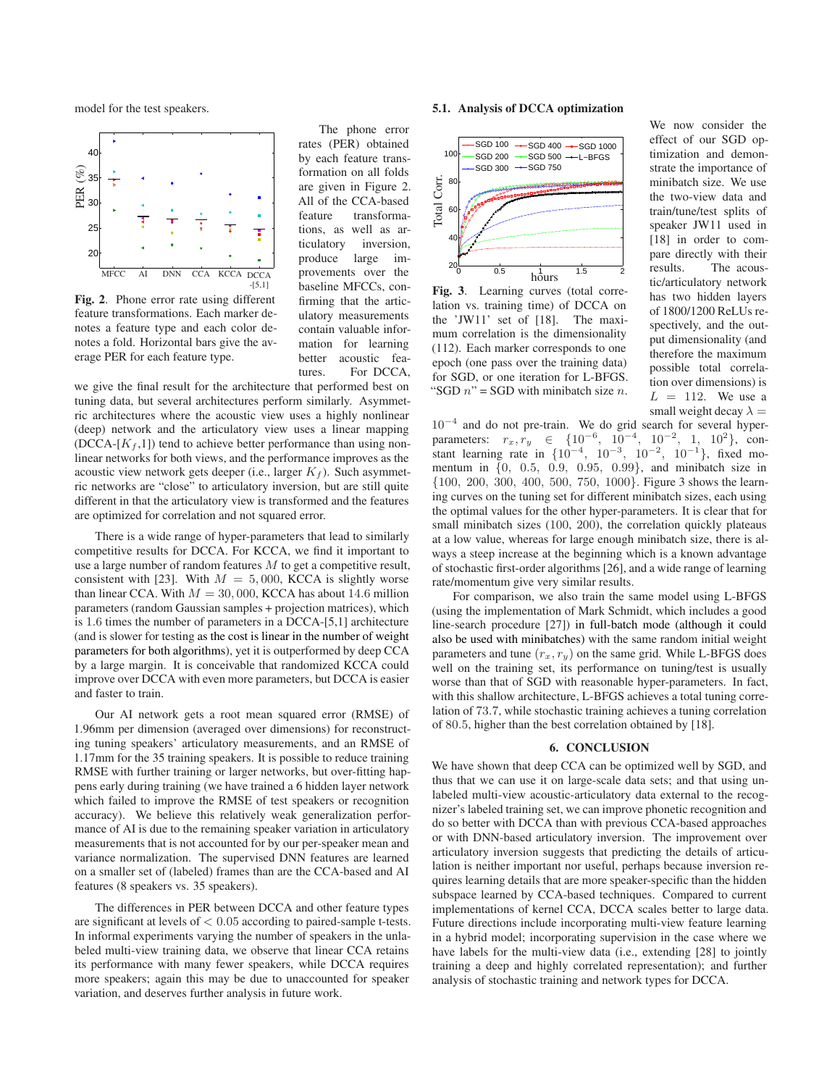model for the test speakers.



Fig. 2. Phone error rate using different feature transformations. Each marker denotes a feature type and each color denotes a fold. Horizontal bars give the average PER for each feature type.

The phone error rates (PER) obtained by each feature transformation on all folds are given in Figure 2. All of the CCA-based feature transformations, as well as articulatory inversion, produce large improvements over the baseline MFCCs, confirming that the articulatory measurements contain valuable information for learning better acoustic features. For DCCA,

we give the final result for the architecture that performed best on tuning data, but several architectures perform similarly. Asymmetric architectures where the acoustic view uses a highly nonlinear (deep) network and the articulatory view uses a linear mapping  $(DCCA-[K_f,1])$  tend to achieve better performance than using nonlinear networks for both views, and the performance improves as the acoustic view network gets deeper (i.e., larger  $K_f$ ). Such asymmetric networks are "close" to articulatory inversion, but are still quite different in that the articulatory view is transformed and the features are optimized for correlation and not squared error.

There is a wide range of hyper-parameters that lead to similarly competitive results for DCCA. For KCCA, we find it important to use a large number of random features  $M$  to get a competitive result, consistent with [23]. With  $M = 5,000$ , KCCA is slightly worse than linear CCA. With  $M = 30,000$ , KCCA has about 14.6 million parameters (random Gaussian samples + projection matrices), which is 1.6 times the number of parameters in a DCCA-[5,1] architecture (and is slower for testing as the cost is linear in the number of weight parameters for both algorithms), yet it is outperformed by deep CCA by a large margin. It is conceivable that randomized KCCA could improve over DCCA with even more parameters, but DCCA is easier and faster to train.

Our AI network gets a root mean squared error (RMSE) of 1.96mm per dimension (averaged over dimensions) for reconstructing tuning speakers' articulatory measurements, and an RMSE of 1.17mm for the 35 training speakers. It is possible to reduce training RMSE with further training or larger networks, but over-fitting happens early during training (we have trained a 6 hidden layer network which failed to improve the RMSE of test speakers or recognition accuracy). We believe this relatively weak generalization performance of AI is due to the remaining speaker variation in articulatory measurements that is not accounted for by our per-speaker mean and variance normalization. The supervised DNN features are learned on a smaller set of (labeled) frames than are the CCA-based and AI features (8 speakers vs. 35 speakers).

The differences in PER between DCCA and other feature types are significant at levels of  $< 0.05$  according to paired-sample t-tests. In informal experiments varying the number of speakers in the unlabeled multi-view training data, we observe that linear CCA retains its performance with many fewer speakers, while DCCA requires more speakers; again this may be due to unaccounted for speaker variation, and deserves further analysis in future work.

# 5.1. Analysis of DCCA optimization



Fig. 3. Learning curves (total correlation vs. training time) of DCCA on the 'JW11' set of [18]. The maximum correlation is the dimensionality (112). Each marker corresponds to one epoch (one pass over the training data) for SGD, or one iteration for L-BFGS. "SGD  $n$ " = SGD with minibatch size *n*.

We now consider the effect of our SGD optimization and demonstrate the importance of minibatch size. We use the two-view data and train/tune/test splits of speaker JW11 used in [18] in order to compare directly with their results. The acoustic/articulatory network has two hidden layers of 1800/1200 ReLUs respectively, and the output dimensionality (and therefore the maximum possible total correlation over dimensions) is  $L = 112$ . We use a small weight decay  $\lambda =$ 

10<sup>−</sup><sup>4</sup> and do not pre-train. We do grid search for several hyperparameters:  $r_x, r_y \in \{10^{-6}, 10^{-4}, 10^{-2}, 1, 10^{2}\}, \text{con-}$ stant learning rate in  $\{10^{-4}, 10^{-3}, 10^{-2}, 10^{-1}\}$ , fixed momentum in {0, 0.5, 0.9, 0.95, 0.99}, and minibatch size in {100, 200, 300, 400, 500, 750, 1000}. Figure 3 shows the learning curves on the tuning set for different minibatch sizes, each using the optimal values for the other hyper-parameters. It is clear that for small minibatch sizes (100, 200), the correlation quickly plateaus at a low value, whereas for large enough minibatch size, there is always a steep increase at the beginning which is a known advantage of stochastic first-order algorithms [26], and a wide range of learning rate/momentum give very similar results.

For comparison, we also train the same model using L-BFGS (using the implementation of Mark Schmidt, which includes a good line-search procedure [27]) in full-batch mode (although it could also be used with minibatches) with the same random initial weight parameters and tune  $(r_x, r_y)$  on the same grid. While L-BFGS does well on the training set, its performance on tuning/test is usually worse than that of SGD with reasonable hyper-parameters. In fact, with this shallow architecture, L-BFGS achieves a total tuning correlation of 73.7, while stochastic training achieves a tuning correlation of 80.5, higher than the best correlation obtained by [18].

# 6. CONCLUSION

We have shown that deep CCA can be optimized well by SGD, and thus that we can use it on large-scale data sets; and that using unlabeled multi-view acoustic-articulatory data external to the recognizer's labeled training set, we can improve phonetic recognition and do so better with DCCA than with previous CCA-based approaches or with DNN-based articulatory inversion. The improvement over articulatory inversion suggests that predicting the details of articulation is neither important nor useful, perhaps because inversion requires learning details that are more speaker-specific than the hidden subspace learned by CCA-based techniques. Compared to current implementations of kernel CCA, DCCA scales better to large data. Future directions include incorporating multi-view feature learning in a hybrid model; incorporating supervision in the case where we have labels for the multi-view data (i.e., extending [28] to jointly training a deep and highly correlated representation); and further analysis of stochastic training and network types for DCCA.